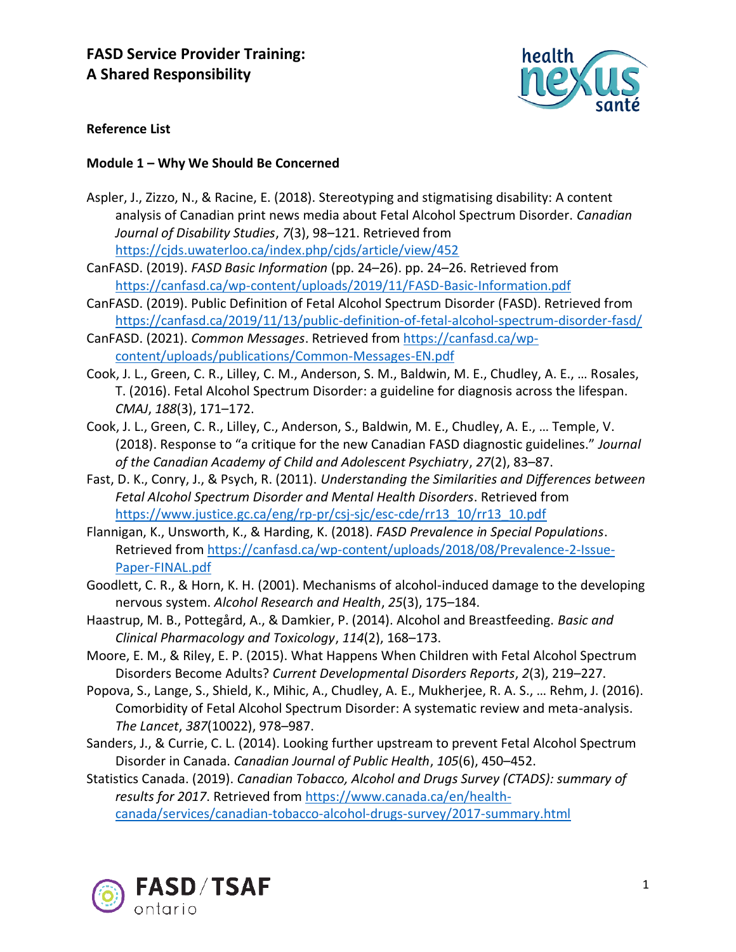

# **Reference List**

## **Module 1 – Why We Should Be Concerned**

- Aspler, J., Zizzo, N., & Racine, E. (2018). Stereotyping and stigmatising disability: A content analysis of Canadian print news media about Fetal Alcohol Spectrum Disorder. *Canadian Journal of Disability Studies*, *7*(3), 98–121. Retrieved from <https://cjds.uwaterloo.ca/index.php/cjds/article/view/452>
- CanFASD. (2019). *FASD Basic Information* (pp. 24–26). pp. 24–26. Retrieved from <https://canfasd.ca/wp-content/uploads/2019/11/FASD-Basic-Information.pdf>
- CanFASD. (2019). Public Definition of Fetal Alcohol Spectrum Disorder (FASD). Retrieved from <https://canfasd.ca/2019/11/13/public-definition-of-fetal-alcohol-spectrum-disorder-fasd/>
- CanFASD. (2021). *Common Messages*. Retrieved from [https://canfasd.ca/wp](https://canfasd.ca/wp-content/uploads/publications/Common-Messages-EN.pdf)[content/uploads/publications/Common-Messages-EN.pdf](https://canfasd.ca/wp-content/uploads/publications/Common-Messages-EN.pdf)
- Cook, J. L., Green, C. R., Lilley, C. M., Anderson, S. M., Baldwin, M. E., Chudley, A. E., … Rosales, T. (2016). Fetal Alcohol Spectrum Disorder: a guideline for diagnosis across the lifespan. *CMAJ*, *188*(3), 171–172.
- Cook, J. L., Green, C. R., Lilley, C., Anderson, S., Baldwin, M. E., Chudley, A. E., … Temple, V. (2018). Response to "a critique for the new Canadian FASD diagnostic guidelines." *Journal of the Canadian Academy of Child and Adolescent Psychiatry*, *27*(2), 83–87.
- Fast, D. K., Conry, J., & Psych, R. (2011). *Understanding the Similarities and Differences between Fetal Alcohol Spectrum Disorder and Mental Health Disorders*. Retrieved from [https://www.justice.gc.ca/eng/rp-pr/csj-sjc/esc-cde/rr13\\_10/rr13\\_10.pdf](https://www.justice.gc.ca/eng/rp-pr/csj-sjc/esc-cde/rr13_10/rr13_10.pdf)
- Flannigan, K., Unsworth, K., & Harding, K. (2018). *FASD Prevalence in Special Populations*. Retrieved from [https://canfasd.ca/wp-content/uploads/2018/08/Prevalence-2-Issue-](https://canfasd.ca/wp-content/uploads/2018/08/Prevalence-2-Issue-Paper-FINAL.pdf)[Paper-FINAL.pdf](https://canfasd.ca/wp-content/uploads/2018/08/Prevalence-2-Issue-Paper-FINAL.pdf)
- Goodlett, C. R., & Horn, K. H. (2001). Mechanisms of alcohol-induced damage to the developing nervous system. *Alcohol Research and Health*, *25*(3), 175–184.
- Haastrup, M. B., Pottegård, A., & Damkier, P. (2014). Alcohol and Breastfeeding. *Basic and Clinical Pharmacology and Toxicology*, *114*(2), 168–173.
- Moore, E. M., & Riley, E. P. (2015). What Happens When Children with Fetal Alcohol Spectrum Disorders Become Adults? *Current Developmental Disorders Reports*, *2*(3), 219–227.
- Popova, S., Lange, S., Shield, K., Mihic, A., Chudley, A. E., Mukherjee, R. A. S., … Rehm, J. (2016). Comorbidity of Fetal Alcohol Spectrum Disorder: A systematic review and meta-analysis. *The Lancet*, *387*(10022), 978–987.
- Sanders, J., & Currie, C. L. (2014). Looking further upstream to prevent Fetal Alcohol Spectrum Disorder in Canada. *Canadian Journal of Public Health*, *105*(6), 450–452.

Statistics Canada. (2019). *Canadian Tobacco, Alcohol and Drugs Survey (CTADS): summary of results for 2017*. Retrieved from [https://www.canada.ca/en/health](https://www.canada.ca/en/health-canada/services/canadian-tobacco-alcohol-drugs-survey/2017-summary.html)[canada/services/canadian-tobacco-alcohol-drugs-survey/2017-summary.html](https://www.canada.ca/en/health-canada/services/canadian-tobacco-alcohol-drugs-survey/2017-summary.html)

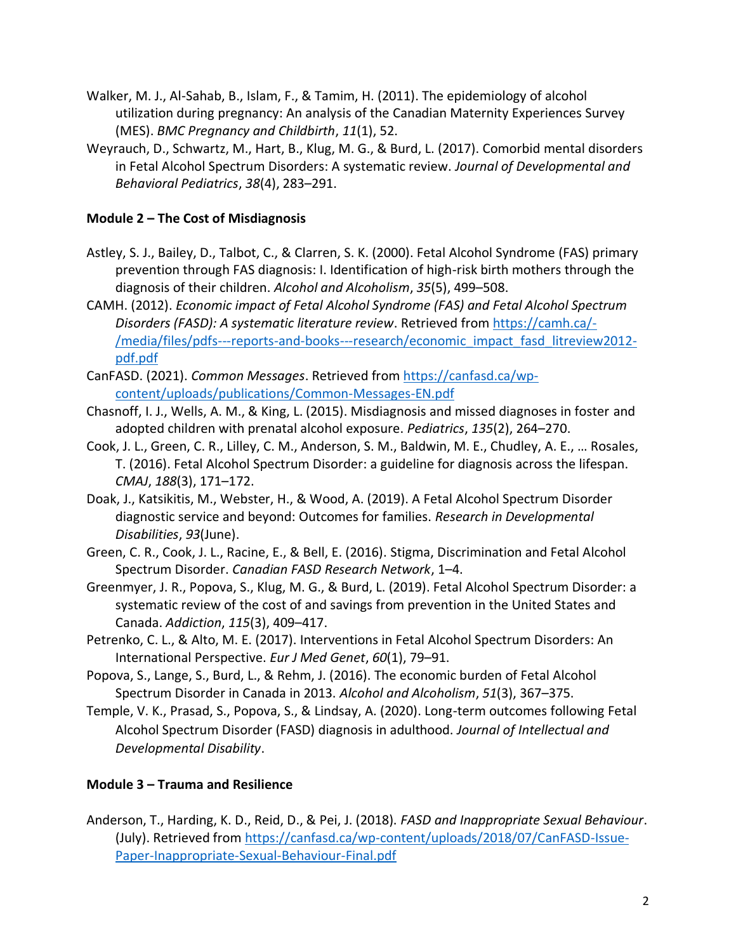- Walker, M. J., Al-Sahab, B., Islam, F., & Tamim, H. (2011). The epidemiology of alcohol utilization during pregnancy: An analysis of the Canadian Maternity Experiences Survey (MES). *BMC Pregnancy and Childbirth*, *11*(1), 52.
- Weyrauch, D., Schwartz, M., Hart, B., Klug, M. G., & Burd, L. (2017). Comorbid mental disorders in Fetal Alcohol Spectrum Disorders: A systematic review. *Journal of Developmental and Behavioral Pediatrics*, *38*(4), 283–291.

# **Module 2 – The Cost of Misdiagnosis**

- Astley, S. J., Bailey, D., Talbot, C., & Clarren, S. K. (2000). Fetal Alcohol Syndrome (FAS) primary prevention through FAS diagnosis: I. Identification of high-risk birth mothers through the diagnosis of their children. *Alcohol and Alcoholism*, *35*(5), 499–508.
- CAMH. (2012). *Economic impact of Fetal Alcohol Syndrome (FAS) and Fetal Alcohol Spectrum Disorders (FASD): A systematic literature review*. Retrieved from [https://camh.ca/-](https://camh.ca/-/media/files/pdfs---reports-and-books---research/economic_impact_fasd_litreview2012-pdf.pdf) [/media/files/pdfs---reports-and-books---research/economic\\_impact\\_fasd\\_litreview2012](https://camh.ca/-/media/files/pdfs---reports-and-books---research/economic_impact_fasd_litreview2012-pdf.pdf) [pdf.pdf](https://camh.ca/-/media/files/pdfs---reports-and-books---research/economic_impact_fasd_litreview2012-pdf.pdf)
- CanFASD. (2021). *Common Messages*. Retrieved from [https://canfasd.ca/wp](https://canfasd.ca/wp-content/uploads/publications/Common-Messages-EN.pdf)[content/uploads/publications/Common-Messages-EN.pdf](https://canfasd.ca/wp-content/uploads/publications/Common-Messages-EN.pdf)
- Chasnoff, I. J., Wells, A. M., & King, L. (2015). Misdiagnosis and missed diagnoses in foster and adopted children with prenatal alcohol exposure. *Pediatrics*, *135*(2), 264–270.
- Cook, J. L., Green, C. R., Lilley, C. M., Anderson, S. M., Baldwin, M. E., Chudley, A. E., … Rosales, T. (2016). Fetal Alcohol Spectrum Disorder: a guideline for diagnosis across the lifespan. *CMAJ*, *188*(3), 171–172.
- Doak, J., Katsikitis, M., Webster, H., & Wood, A. (2019). A Fetal Alcohol Spectrum Disorder diagnostic service and beyond: Outcomes for families. *Research in Developmental Disabilities*, *93*(June).
- Green, C. R., Cook, J. L., Racine, E., & Bell, E. (2016). Stigma, Discrimination and Fetal Alcohol Spectrum Disorder. *Canadian FASD Research Network*, 1–4.
- Greenmyer, J. R., Popova, S., Klug, M. G., & Burd, L. (2019). Fetal Alcohol Spectrum Disorder: a systematic review of the cost of and savings from prevention in the United States and Canada. *Addiction*, *115*(3), 409–417.
- Petrenko, C. L., & Alto, M. E. (2017). Interventions in Fetal Alcohol Spectrum Disorders: An International Perspective. *Eur J Med Genet*, *60*(1), 79–91.
- Popova, S., Lange, S., Burd, L., & Rehm, J. (2016). The economic burden of Fetal Alcohol Spectrum Disorder in Canada in 2013. *Alcohol and Alcoholism*, *51*(3), 367–375.
- Temple, V. K., Prasad, S., Popova, S., & Lindsay, A. (2020). Long-term outcomes following Fetal Alcohol Spectrum Disorder (FASD) diagnosis in adulthood. *Journal of Intellectual and Developmental Disability*.

# **Module 3 – Trauma and Resilience**

Anderson, T., Harding, K. D., Reid, D., & Pei, J. (2018). *FASD and Inappropriate Sexual Behaviour*. (July). Retrieved fro[m https://canfasd.ca/wp-content/uploads/2018/07/CanFASD-Issue-](https://canfasd.ca/wp-content/uploads/2018/07/CanFASD-Issue-Paper-Inappropriate-Sexual-Behaviour-Final.pdf)[Paper-Inappropriate-Sexual-Behaviour-Final.pdf](https://canfasd.ca/wp-content/uploads/2018/07/CanFASD-Issue-Paper-Inappropriate-Sexual-Behaviour-Final.pdf)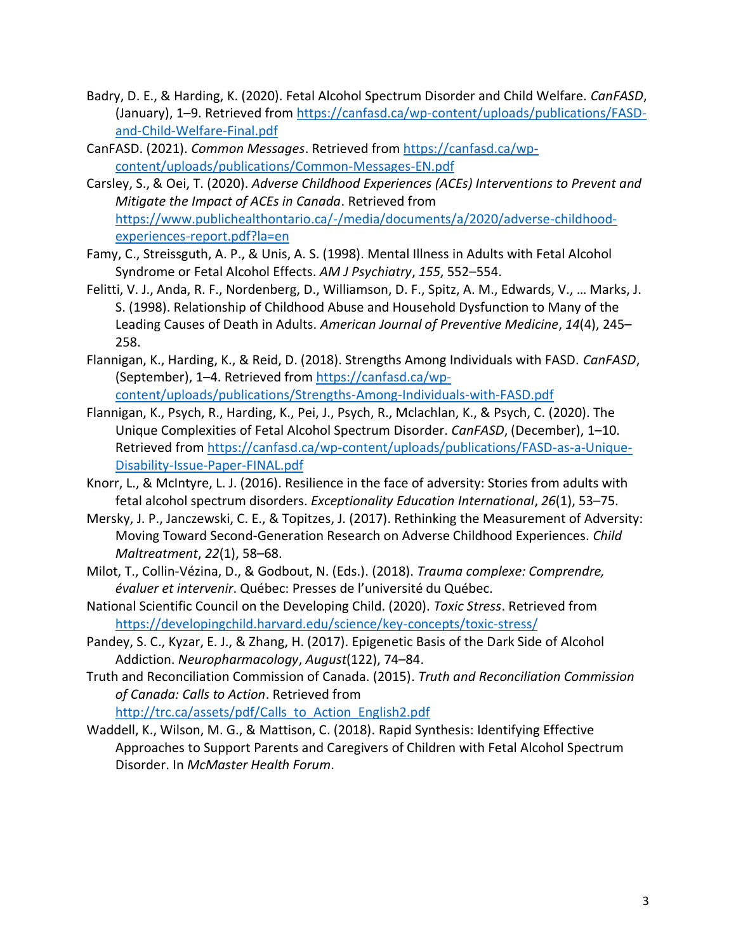- Badry, D. E., & Harding, K. (2020). Fetal Alcohol Spectrum Disorder and Child Welfare. *CanFASD*, (January), 1–9. Retrieved from [https://canfasd.ca/wp-content/uploads/publications/FASD](https://canfasd.ca/wp-content/uploads/publications/FASD-and-Child-Welfare-Final.pdf)[and-Child-Welfare-Final.pdf](https://canfasd.ca/wp-content/uploads/publications/FASD-and-Child-Welfare-Final.pdf)
- CanFASD. (2021). *Common Messages*. Retrieved from [https://canfasd.ca/wp](https://canfasd.ca/wp-content/uploads/publications/Common-Messages-EN.pdf)[content/uploads/publications/Common-Messages-EN.pdf](https://canfasd.ca/wp-content/uploads/publications/Common-Messages-EN.pdf)
- Carsley, S., & Oei, T. (2020). *Adverse Childhood Experiences (ACEs) Interventions to Prevent and Mitigate the Impact of ACEs in Canada*. Retrieved from [https://www.publichealthontario.ca/-/media/documents/a/2020/adverse-childhood](https://www.publichealthontario.ca/-/media/documents/a/2020/adverse-childhood-experiences-report.pdf?la=en)[experiences-report.pdf?la=en](https://www.publichealthontario.ca/-/media/documents/a/2020/adverse-childhood-experiences-report.pdf?la=en)
- Famy, C., Streissguth, A. P., & Unis, A. S. (1998). Mental Illness in Adults with Fetal Alcohol Syndrome or Fetal Alcohol Effects. *AM J Psychiatry*, *155*, 552–554.
- Felitti, V. J., Anda, R. F., Nordenberg, D., Williamson, D. F., Spitz, A. M., Edwards, V., … Marks, J. S. (1998). Relationship of Childhood Abuse and Household Dysfunction to Many of the Leading Causes of Death in Adults. *American Journal of Preventive Medicine*, *14*(4), 245– 258.
- Flannigan, K., Harding, K., & Reid, D. (2018). Strengths Among Individuals with FASD. *CanFASD*, (September), 1–4. Retrieved from [https://canfasd.ca/wp](https://canfasd.ca/wp-content/uploads/publications/Strengths-Among-Individuals-with-FASD.pdf)[content/uploads/publications/Strengths-Among-Individuals-with-FASD.pdf](https://canfasd.ca/wp-content/uploads/publications/Strengths-Among-Individuals-with-FASD.pdf)
- Flannigan, K., Psych, R., Harding, K., Pei, J., Psych, R., Mclachlan, K., & Psych, C. (2020). The Unique Complexities of Fetal Alcohol Spectrum Disorder. *CanFASD*, (December), 1–10. Retrieved from [https://canfasd.ca/wp-content/uploads/publications/FASD-as-a-Unique-](https://canfasd.ca/wp-content/uploads/publications/FASD-as-a-Unique-Disability-Issue-Paper-FINAL.pdf)[Disability-Issue-Paper-FINAL.pdf](https://canfasd.ca/wp-content/uploads/publications/FASD-as-a-Unique-Disability-Issue-Paper-FINAL.pdf)
- Knorr, L., & McIntyre, L. J. (2016). Resilience in the face of adversity: Stories from adults with fetal alcohol spectrum disorders. *Exceptionality Education International*, *26*(1), 53–75.
- Mersky, J. P., Janczewski, C. E., & Topitzes, J. (2017). Rethinking the Measurement of Adversity: Moving Toward Second-Generation Research on Adverse Childhood Experiences. *Child Maltreatment*, *22*(1), 58–68.
- Milot, T., Collin-Vézina, D., & Godbout, N. (Eds.). (2018). *Trauma complexe: Comprendre, évaluer et intervenir*. Québec: Presses de l'université du Québec.
- National Scientific Council on the Developing Child. (2020). *Toxic Stress*. Retrieved from <https://developingchild.harvard.edu/science/key-concepts/toxic-stress/>
- Pandey, S. C., Kyzar, E. J., & Zhang, H. (2017). Epigenetic Basis of the Dark Side of Alcohol Addiction. *Neuropharmacology*, *August*(122), 74–84.
- Truth and Reconciliation Commission of Canada. (2015). *Truth and Reconciliation Commission of Canada: Calls to Action*. Retrieved from

[http://trc.ca/assets/pdf/Calls\\_to\\_Action\\_English2.pdf](http://trc.ca/assets/pdf/Calls_to_Action_English2.pdf)

Waddell, K., Wilson, M. G., & Mattison, C. (2018). Rapid Synthesis: Identifying Effective Approaches to Support Parents and Caregivers of Children with Fetal Alcohol Spectrum Disorder. In *McMaster Health Forum*.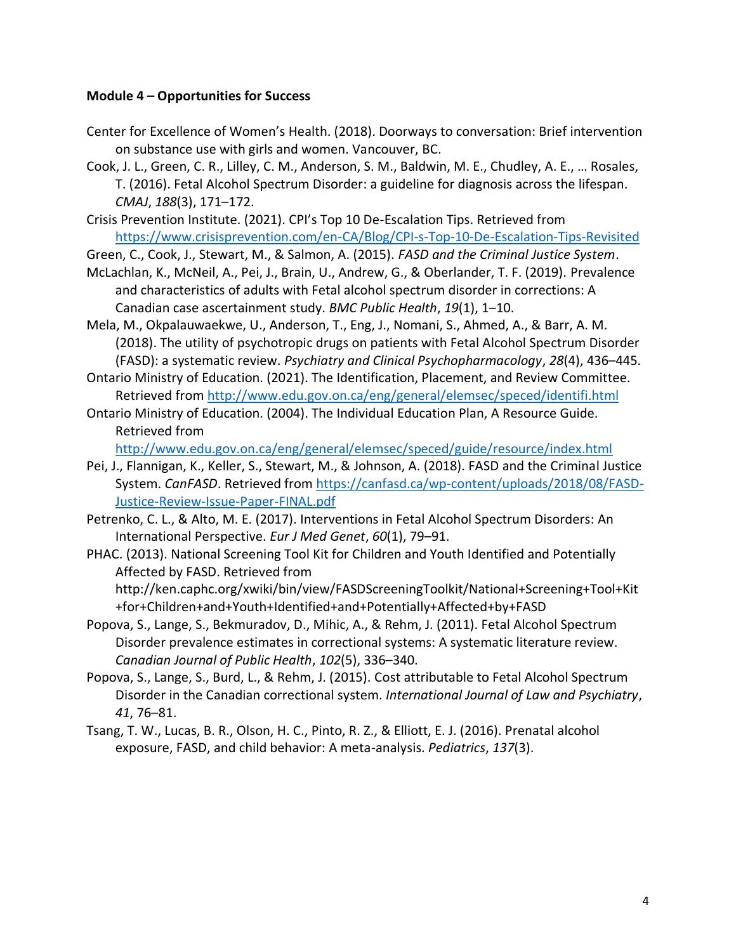## **Module 4 – Opportunities for Success**

- Center for Excellence of Women's Health. (2018). Doorways to conversation: Brief intervention on substance use with girls and women. Vancouver, BC.
- Cook, J. L., Green, C. R., Lilley, C. M., Anderson, S. M., Baldwin, M. E., Chudley, A. E., … Rosales, T. (2016). Fetal Alcohol Spectrum Disorder: a guideline for diagnosis across the lifespan. *CMAJ*, *188*(3), 171–172.
- Crisis Prevention Institute. (2021). CPI's Top 10 De-Escalation Tips. Retrieved from <https://www.crisisprevention.com/en-CA/Blog/CPI-s-Top-10-De-Escalation-Tips-Revisited>
- Green, C., Cook, J., Stewart, M., & Salmon, A. (2015). *FASD and the Criminal Justice System*.
- McLachlan, K., McNeil, A., Pei, J., Brain, U., Andrew, G., & Oberlander, T. F. (2019). Prevalence and characteristics of adults with Fetal alcohol spectrum disorder in corrections: A Canadian case ascertainment study. *BMC Public Health*, *19*(1), 1–10.
- Mela, M., Okpalauwaekwe, U., Anderson, T., Eng, J., Nomani, S., Ahmed, A., & Barr, A. M. (2018). The utility of psychotropic drugs on patients with Fetal Alcohol Spectrum Disorder (FASD): a systematic review. *Psychiatry and Clinical Psychopharmacology*, *28*(4), 436–445.
- Ontario Ministry of Education. (2021). The Identification, Placement, and Review Committee. Retrieved from<http://www.edu.gov.on.ca/eng/general/elemsec/speced/identifi.html>
- Ontario Ministry of Education. (2004). The Individual Education Plan, A Resource Guide. Retrieved from

<http://www.edu.gov.on.ca/eng/general/elemsec/speced/guide/resource/index.html>

- Pei, J., Flannigan, K., Keller, S., Stewart, M., & Johnson, A. (2018). FASD and the Criminal Justice System. *CanFASD*. Retrieved from [https://canfasd.ca/wp-content/uploads/2018/08/FASD-](https://canfasd.ca/wp-content/uploads/2018/08/FASD-Justice-Review-Issue-Paper-FINAL.pdf)[Justice-Review-Issue-Paper-FINAL.pdf](https://canfasd.ca/wp-content/uploads/2018/08/FASD-Justice-Review-Issue-Paper-FINAL.pdf)
- Petrenko, C. L., & Alto, M. E. (2017). Interventions in Fetal Alcohol Spectrum Disorders: An International Perspective. *Eur J Med Genet*, *60*(1), 79–91.
- PHAC. (2013). National Screening Tool Kit for Children and Youth Identified and Potentially Affected by FASD. Retrieved from http://ken.caphc.org/xwiki/bin/view/FASDScreeningToolkit/National+Screening+Tool+Kit +for+Children+and+Youth+Identified+and+Potentially+Affected+by+FASD
- Popova, S., Lange, S., Bekmuradov, D., Mihic, A., & Rehm, J. (2011). Fetal Alcohol Spectrum Disorder prevalence estimates in correctional systems: A systematic literature review. *Canadian Journal of Public Health*, *102*(5), 336–340.
- Popova, S., Lange, S., Burd, L., & Rehm, J. (2015). Cost attributable to Fetal Alcohol Spectrum Disorder in the Canadian correctional system. *International Journal of Law and Psychiatry*, *41*, 76–81.
- Tsang, T. W., Lucas, B. R., Olson, H. C., Pinto, R. Z., & Elliott, E. J. (2016). Prenatal alcohol exposure, FASD, and child behavior: A meta-analysis. *Pediatrics*, *137*(3).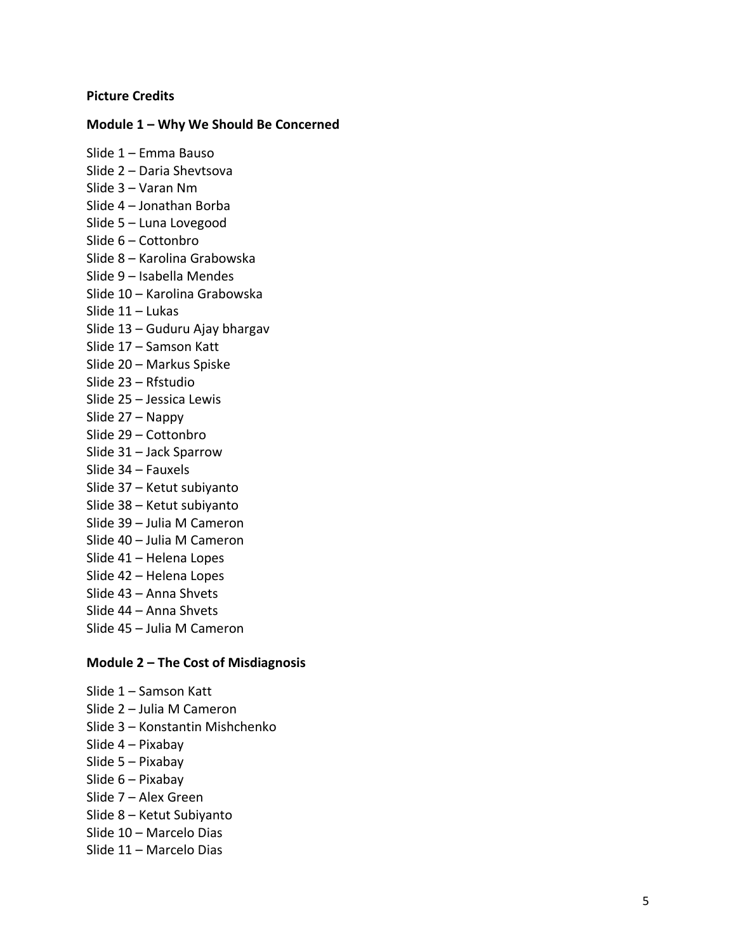#### **Picture Credits**

## **Module 1 – Why We Should Be Concerned**

Slide 1 – Emma Bauso Slide 2 – Daria Shevtsova Slide 3 – Varan Nm Slide 4 – Jonathan Borba Slide 5 – Luna Lovegood Slide 6 – Cottonbro Slide 8 – Karolina Grabowska Slide 9 – Isabella Mendes Slide 10 – Karolina Grabowska Slide 11 – Lukas Slide 13 – Guduru Ajay bhargav Slide 17 – Samson Katt Slide 20 – Markus Spiske Slide 23 – Rfstudio Slide 25 – Jessica Lewis Slide 27 – Nappy Slide 29 – Cottonbro Slide 31 – Jack Sparrow Slide 34 – Fauxels Slide 37 – Ketut subiyanto Slide 38 – Ketut subiyanto Slide 39 – Julia M Cameron Slide 40 – Julia M Cameron Slide 41 – Helena Lopes Slide 42 – Helena Lopes Slide 43 – Anna Shvets Slide 44 – Anna Shvets Slide 45 – Julia M Cameron

#### **Module 2 – The Cost of Misdiagnosis**

Slide 1 – Samson Katt Slide 2 – Julia M Cameron Slide 3 – Konstantin Mishchenko Slide 4 – Pixabay Slide 5 – Pixabay Slide 6 – Pixabay Slide 7 – Alex Green Slide 8 – Ketut Subiyanto Slide 10 – Marcelo Dias Slide 11 – Marcelo Dias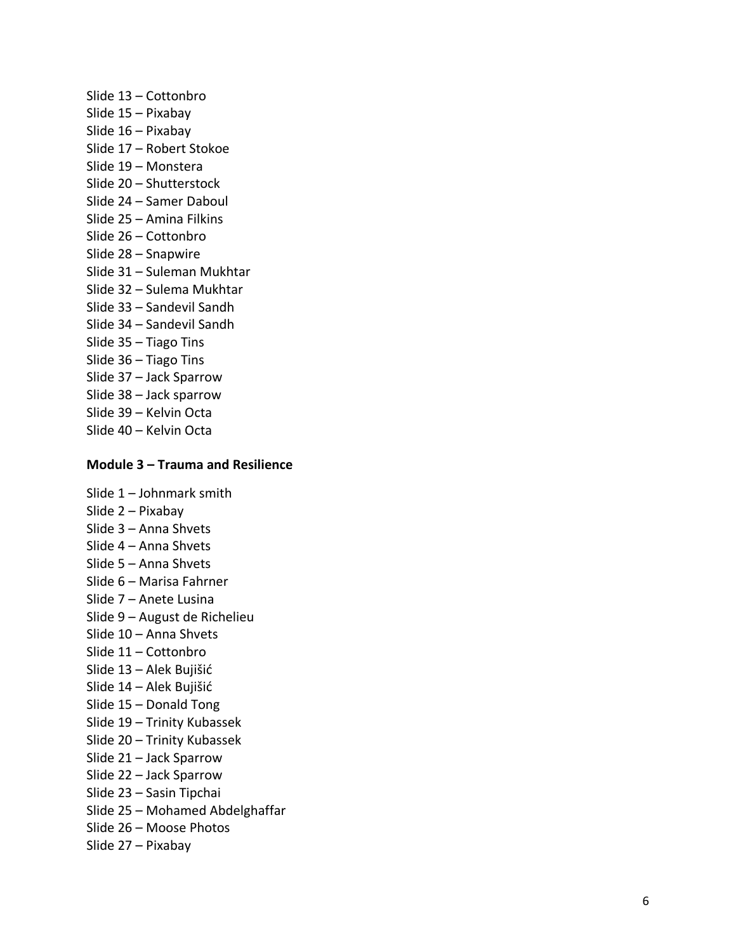Slide 13 – Cottonbro Slide 15 – Pixabay Slide 16 – Pixabay Slide 17 – Robert Stokoe Slide 19 – Monstera Slide 20 – Shutterstock Slide 24 – Samer Daboul Slide 25 – Amina Filkins Slide 26 – Cottonbro Slide 28 – Snapwire Slide 31 – Suleman Mukhtar Slide 32 – Sulema Mukhtar Slide 33 – Sandevil Sandh Slide 34 – Sandevil Sandh Slide 35 – Tiago Tins Slide 36 – Tiago Tins Slide 37 – Jack Sparrow Slide 38 – Jack sparrow Slide 39 – Kelvin Octa Slide 40 – Kelvin Octa

#### **Module 3 – Trauma and Resilience**

Slide 1 – Johnmark smith Slide 2 – Pixabay Slide 3 – Anna Shvets Slide 4 – Anna Shvets Slide 5 – Anna Shvets Slide 6 – Marisa Fahrner Slide 7 – Anete Lusina Slide 9 – August de Richelieu Slide 10 – Anna Shvets Slide 11 – Cottonbro Slide 13 – Alek Bujišić Slide 14 – Alek Bujišić Slide 15 – Donald Tong Slide 19 – Trinity Kubassek Slide 20 – Trinity Kubassek Slide 21 – Jack Sparrow Slide 22 – Jack Sparrow Slide 23 – Sasin Tipchai Slide 25 – Mohamed Abdelghaffar Slide 26 – Moose Photos Slide 27 – Pixabay